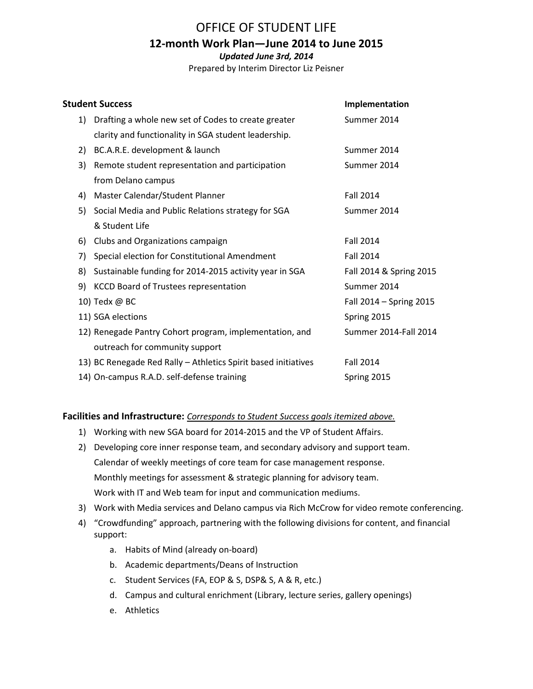### OFFICE OF STUDENT LIFE

### **12-month Work Plan—June 2014 to June 2015**

*Updated June 3rd, 2014*

Prepared by Interim Director Liz Peisner

|    | <b>Student Success</b>                                         | Implementation          |
|----|----------------------------------------------------------------|-------------------------|
|    | Drafting a whole new set of Codes to create greater<br>1)      | Summer 2014             |
|    | clarity and functionality in SGA student leadership.           |                         |
| 2) | BC.A.R.E. development & launch                                 | Summer 2014             |
| 3) | Remote student representation and participation                | Summer 2014             |
|    | from Delano campus                                             |                         |
| 4) | Master Calendar/Student Planner                                | <b>Fall 2014</b>        |
|    | Social Media and Public Relations strategy for SGA<br>5)       | Summer 2014             |
|    | & Student Life                                                 |                         |
| 6) | Clubs and Organizations campaign                               | <b>Fall 2014</b>        |
| 7) | Special election for Constitutional Amendment                  | <b>Fall 2014</b>        |
| 8) | Sustainable funding for 2014-2015 activity year in SGA         | Fall 2014 & Spring 2015 |
| 9) | <b>KCCD Board of Trustees representation</b>                   | Summer 2014             |
|    | 10) Tedx @ BC                                                  | Fall 2014 - Spring 2015 |
|    | 11) SGA elections                                              | Spring 2015             |
|    | 12) Renegade Pantry Cohort program, implementation, and        | Summer 2014-Fall 2014   |
|    | outreach for community support                                 |                         |
|    | 13) BC Renegade Red Rally - Athletics Spirit based initiatives | <b>Fall 2014</b>        |
|    | 14) On-campus R.A.D. self-defense training                     | Spring 2015             |

**Facilities and Infrastructure:** *Corresponds to Student Success goals itemized above.*

- 1) Working with new SGA board for 2014-2015 and the VP of Student Affairs.
- 2) Developing core inner response team, and secondary advisory and support team. Calendar of weekly meetings of core team for case management response. Monthly meetings for assessment & strategic planning for advisory team. Work with IT and Web team for input and communication mediums.
- 3) Work with Media services and Delano campus via Rich McCrow for video remote conferencing.
- 4) "Crowdfunding" approach, partnering with the following divisions for content, and financial support:
	- a. Habits of Mind (already on-board)
	- b. Academic departments/Deans of Instruction
	- c. Student Services (FA, EOP & S, DSP& S, A & R, etc.)
	- d. Campus and cultural enrichment (Library, lecture series, gallery openings)
	- e. Athletics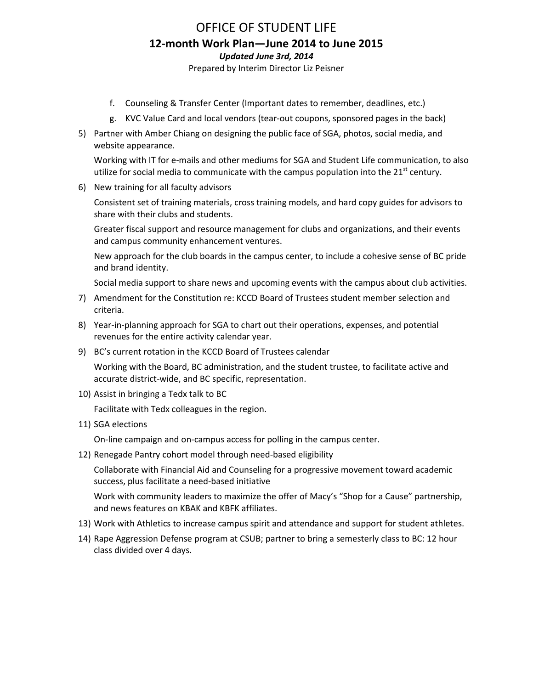## OFFICE OF STUDENT LIFE **12-month Work Plan—June 2014 to June 2015** *Updated June 3rd, 2014*

Prepared by Interim Director Liz Peisner

- f. Counseling & Transfer Center (Important dates to remember, deadlines, etc.)
- g. KVC Value Card and local vendors (tear-out coupons, sponsored pages in the back)
- 5) Partner with Amber Chiang on designing the public face of SGA, photos, social media, and website appearance.

Working with IT for e-mails and other mediums for SGA and Student Life communication, to also utilize for social media to communicate with the campus population into the  $21<sup>st</sup>$  century.

6) New training for all faculty advisors

Consistent set of training materials, cross training models, and hard copy guides for advisors to share with their clubs and students.

Greater fiscal support and resource management for clubs and organizations, and their events and campus community enhancement ventures.

New approach for the club boards in the campus center, to include a cohesive sense of BC pride and brand identity.

Social media support to share news and upcoming events with the campus about club activities.

- 7) Amendment for the Constitution re: KCCD Board of Trustees student member selection and criteria.
- 8) Year-in-planning approach for SGA to chart out their operations, expenses, and potential revenues for the entire activity calendar year.
- 9) BC's current rotation in the KCCD Board of Trustees calendar

Working with the Board, BC administration, and the student trustee, to facilitate active and accurate district-wide, and BC specific, representation.

10) Assist in bringing a Tedx talk to BC

Facilitate with Tedx colleagues in the region.

11) SGA elections

On-line campaign and on-campus access for polling in the campus center.

12) Renegade Pantry cohort model through need-based eligibility

Collaborate with Financial Aid and Counseling for a progressive movement toward academic success, plus facilitate a need-based initiative

Work with community leaders to maximize the offer of Macy's "Shop for a Cause" partnership, and news features on KBAK and KBFK affiliates.

- 13) Work with Athletics to increase campus spirit and attendance and support for student athletes.
- 14) Rape Aggression Defense program at CSUB; partner to bring a semesterly class to BC: 12 hour class divided over 4 days.